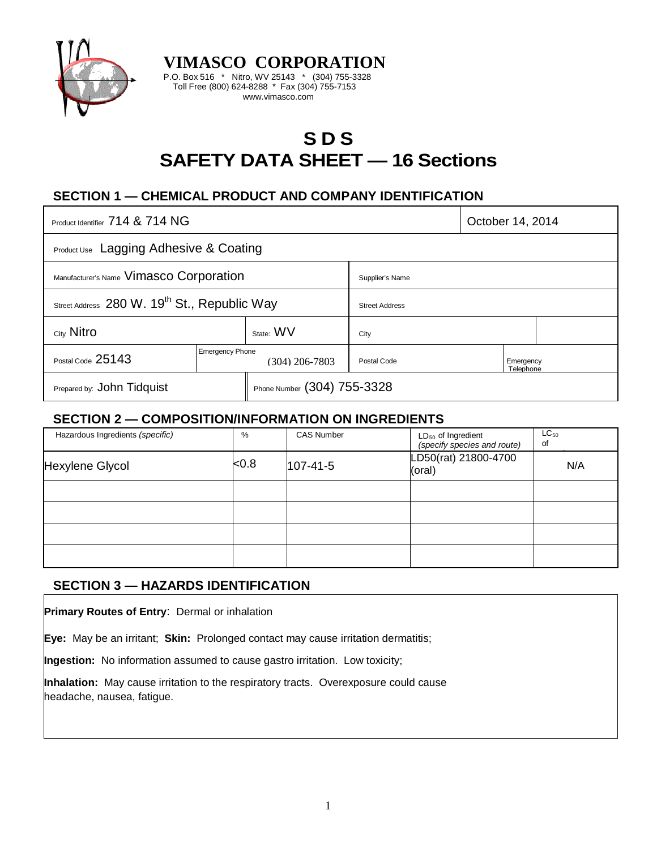

**VIMASCO CORPORATION** P.O. Box 516 \* Nitro, WV 25143 \* (304) 755-3328 Toll Free (800) 624-8288 \* Fax (304) 755-7153 www.vimasco.com

# **S D S SAFETY DATA SHEET — 16 Sections**

# **SECTION 1 — CHEMICAL PRODUCT AND COMPANY IDENTIFICATION**

| Product Identifier 714 & 714 NG                          |                                            |                             |                       | October 14, 2014       |  |
|----------------------------------------------------------|--------------------------------------------|-----------------------------|-----------------------|------------------------|--|
| Product Use Lagging Adhesive & Coating                   |                                            |                             |                       |                        |  |
| Manufacturer's Name Vimasco Corporation                  |                                            |                             | Supplier's Name       |                        |  |
| Street Address 280 W. 19 <sup>th</sup> St., Republic Way |                                            |                             | <b>Street Address</b> |                        |  |
| City Nitro                                               |                                            | State: WV                   | City                  |                        |  |
| Postal Code 25143                                        | <b>Emergency Phone</b><br>$(304)$ 206-7803 |                             | Postal Code           | Emergency<br>Telephone |  |
| Prepared by: John Tidquist                               |                                            | Phone Number (304) 755-3328 |                       |                        |  |

### **SECTION 2 — COMPOSITION/INFORMATION ON INGREDIENTS**

| Hazardous Ingredients (specific) | %              | <b>CAS Number</b> | $LD_{50}$ of Ingredient<br>(specify species and route) | $LC_{50}$<br>0f |
|----------------------------------|----------------|-------------------|--------------------------------------------------------|-----------------|
| Hexylene Glycol                  | <sub>0.8</sub> | $107 - 41 - 5$    | LD50(rat) 21800-4700<br>(oral)                         | N/A             |
|                                  |                |                   |                                                        |                 |
|                                  |                |                   |                                                        |                 |
|                                  |                |                   |                                                        |                 |
|                                  |                |                   |                                                        |                 |

# **SECTION 3 — HAZARDS IDENTIFICATION**

**Primary Routes of Entry**: Dermal or inhalation

**Eye:** May be an irritant; **Skin:** Prolonged contact may cause irritation dermatitis;

**Ingestion:** No information assumed to cause gastro irritation. Low toxicity;

**Inhalation:** May cause irritation to the respiratory tracts. Overexposure could cause headache, nausea, fatigue.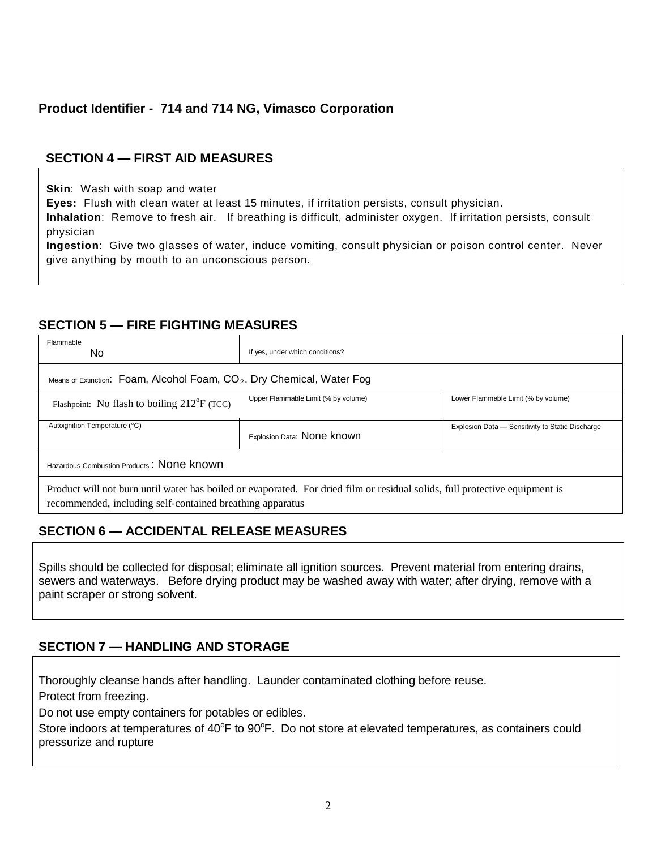# **Product Identifier - 714 and 714 NG, Vimasco Corporation**

# **SECTION 4 — FIRST AID MEASURES**

**Skin**: Wash with soap and water

**Eyes:** Flush with clean water at least 15 minutes, if irritation persists, consult physician.

**Inhalation**: Remove to fresh air. If breathing is difficult, administer oxygen. If irritation persists, consult physician

**Ingestion**: Give two glasses of water, induce vomiting, consult physician or poison control center. Never give anything by mouth to an unconscious person.

### **SECTION 5 — FIRE FIGHTING MEASURES**

| Flammable<br>No.                                                                                                                                                                         | If yes, under which conditions?     |                                                  |  |  |  |
|------------------------------------------------------------------------------------------------------------------------------------------------------------------------------------------|-------------------------------------|--------------------------------------------------|--|--|--|
| Means of Extinction: Foam, Alcohol Foam, $CO2$ , Dry Chemical, Water Fog                                                                                                                 |                                     |                                                  |  |  |  |
| Flashpoint: No flash to boiling $212^{\circ}F$ (TCC)                                                                                                                                     | Upper Flammable Limit (% by volume) | Lower Flammable Limit (% by volume)              |  |  |  |
| Autoignition Temperature (°C)                                                                                                                                                            | Explosion Data: None known          | Explosion Data - Sensitivity to Static Discharge |  |  |  |
| Hazardous Combustion Products: None known                                                                                                                                                |                                     |                                                  |  |  |  |
| Product will not burn until water has boiled or evaporated. For dried film or residual solids, full protective equipment is<br>recommended, including self-contained breathing apparatus |                                     |                                                  |  |  |  |

# **SECTION 6 — ACCIDENTAL RELEASE MEASURES**

Spills should be collected for disposal; eliminate all ignition sources. Prevent material from entering drains, sewers and waterways. Before drying product may be washed away with water; after drying, remove with a paint scraper or strong solvent.

# **SECTION 7 — HANDLING AND STORAGE**

Thoroughly cleanse hands after handling. Launder contaminated clothing before reuse.

Protect from freezing.

Do not use empty containers for potables or edibles.

Store indoors at temperatures of 40°F to 90°F. Do not store at elevated temperatures, as containers could pressurize and rupture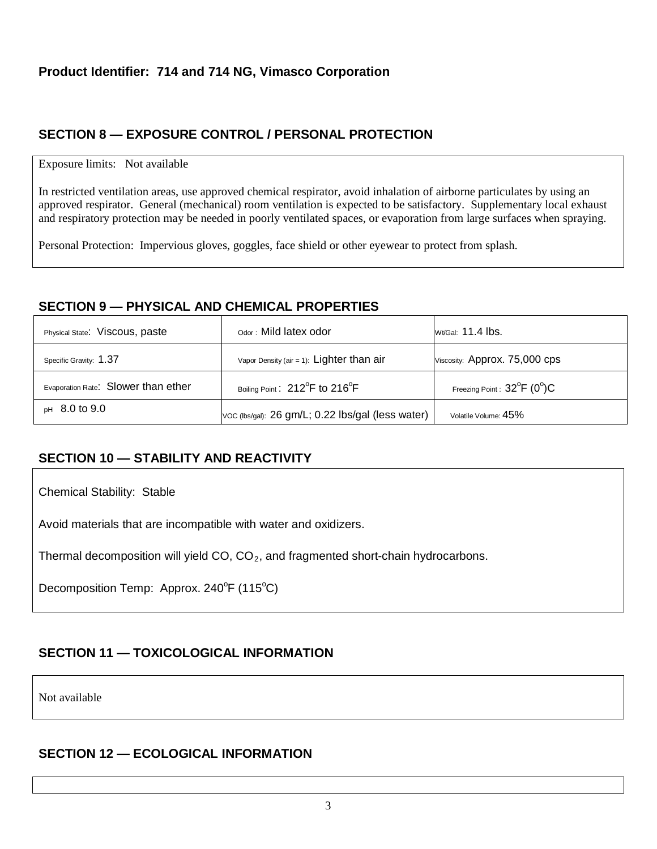# **SECTION 8 — EXPOSURE CONTROL / PERSONAL PROTECTION**

#### Exposure limits: Not available

In restricted ventilation areas, use approved chemical respirator, avoid inhalation of airborne particulates by using an approved respirator. General (mechanical) room ventilation is expected to be satisfactory. Supplementary local exhaust and respiratory protection may be needed in poorly ventilated spaces, or evaporation from large surfaces when spraying.

Personal Protection: Impervious gloves, goggles, face shield or other eyewear to protect from splash.

### **SECTION 9 — PHYSICAL AND CHEMICAL PROPERTIES**

| Physical State: Viscous, paste      | Odor: Mild latex odor                                   | Wt/Gal: $11.4$ lbs.                 |
|-------------------------------------|---------------------------------------------------------|-------------------------------------|
| Specific Gravity: 1.37              | Vapor Density (air = 1): Lighter than $air$             | Viscosity: Approx. 75,000 cps       |
| Evaporation Rate: Slower than ether | Boiling Point: 212 <sup>°</sup> F to 216 <sup>°</sup> F | Freezing Point: $32^{\circ}F$ (0°)C |
| $pH$ 8.0 to 9.0                     | VOC (Ibs/gal): 26 gm/L; 0.22 lbs/gal (less water)       | Volatile Volume: 45%                |

# **SECTION 10 — STABILITY AND REACTIVITY**

Chemical Stability: Stable

Avoid materials that are incompatible with water and oxidizers.

Thermal decomposition will yield  $CO$ ,  $CO<sub>2</sub>$ , and fragmented short-chain hydrocarbons.

Decomposition Temp: Approx. 240°F (115°C)

# **SECTION 11 — TOXICOLOGICAL INFORMATION**

Not available

### **SECTION 12 — ECOLOGICAL INFORMATION**